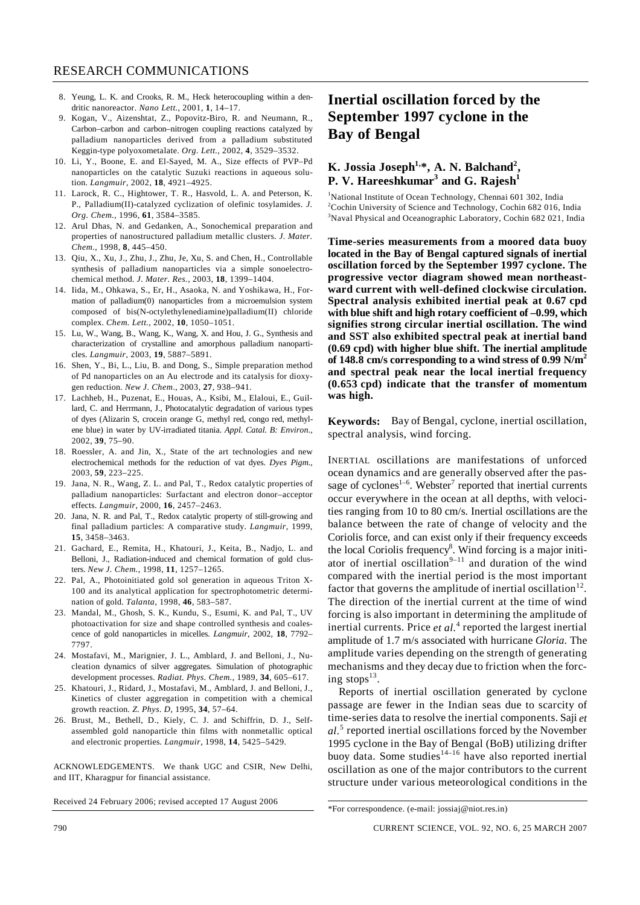- 8. Yeung, L. K. and Crooks, R. M., Heck heterocoupling within a dendritic nanoreactor. *Nano Lett.*, 2001, **1**, 14–17.
- 9. Kogan, V., Aizenshtat, Z., Popovitz-Biro, R. and Neumann, R., Carbon–carbon and carbon–nitrogen coupling reactions catalyzed by palladium nanoparticles derived from a palladium substituted Keggin-type polyoxometalate. *Org. Lett.*, 2002, **4**, 3529–3532.
- 10. Li, Y., Boone, E. and El-Sayed, M. A., Size effects of PVP–Pd nanoparticles on the catalytic Suzuki reactions in aqueous solution. *Langmuir*, 2002, **18**, 4921–4925.
- 11. Larock, R. C., Hightower, T. R., Hasvold, L. A. and Peterson, K. P., Palladium(II)-catalyzed cyclization of olefinic tosylamides. *J. Org. Chem.*, 1996, **61**, 3584–3585.
- 12. Arul Dhas, N. and Gedanken, A., Sonochemical preparation and properties of nanostructured palladium metallic clusters. *J. Mater. Chem.*, 1998, **8**, 445–450.
- 13. Qiu, X., Xu, J., Zhu, J., Zhu, Je, Xu, S. and Chen, H., Controllable synthesis of palladium nanoparticles via a simple sonoelectrochemical method. *J. Mater. Res.*, 2003, **18**, 1399–1404.
- 14. Iida, M., Ohkawa, S., Er, H., Asaoka, N. and Yoshikawa, H., Formation of palladium(0) nanoparticles from a microemulsion system composed of bis(N-octylethylenediamine)palladium(II) chloride complex. *Chem. Lett.*, 2002, **10**, 1050–1051.
- 15. Lu, W., Wang, B., Wang, K., Wang, X. and Hou, J. G., Synthesis and characterization of crystalline and amorphous palladium nanoparticles. *Langmuir*, 2003, **19**, 5887–5891.
- 16. Shen, Y., Bi, L., Liu, B. and Dong, S., Simple preparation method of Pd nanoparticles on an Au electrode and its catalysis for dioxygen reduction. *New J. Chem*., 2003, **27**, 938–941.
- 17. Lachheb, H., Puzenat, E., Houas, A., Ksibi, M., Elaloui, E., Guillard, C. and Herrmann, J., Photocatalytic degradation of various types of dyes (Alizarin S, crocein orange G, methyl red, congo red, methylene blue) in water by UV-irradiated titania. *Appl. Catal. B: Environ.*, 2002, **39**, 75–90.
- 18. Roessler, A. and Jin, X., State of the art technologies and new electrochemical methods for the reduction of vat dyes. *Dyes Pigm.*, 2003, **59**, 223–225.
- 19. Jana, N. R., Wang, Z. L. and Pal, T., Redox catalytic properties of palladium nanoparticles: Surfactant and electron donor–acceptor effects. *Langmuir*, 2000, **16**, 2457–2463.
- 20. Jana, N. R. and Pal, T., Redox catalytic property of still-growing and final palladium particles: A comparative study. *Langmuir*, 1999, **15**, 3458–3463.
- 21. Gachard, E., Remita, H., Khatouri, J., Keita, B., Nadjo, L. and Belloni, J., Radiation-induced and chemical formation of gold clusters. *New J. Chem.*, 1998, **11**, 1257–1265.
- 22. Pal, A., Photoinitiated gold sol generation in aqueous Triton X-100 and its analytical application for spectrophotometric determination of gold. *Talanta*, 1998, **46**, 583–587.
- 23. Mandal, M., Ghosh, S. K., Kundu, S., Esumi, K. and Pal, T., UV photoactivation for size and shape controlled synthesis and coalescence of gold nanoparticles in micelles. *Langmuir*, 2002, **18**, 7792– 7797.
- 24. Mostafavi, M., Marignier, J. L., Amblard, J. and Belloni, J., Nucleation dynamics of silver aggregates. Simulation of photographic development processes. *Radiat. Phys. Chem.*, 1989, **34**, 605–617.
- 25. Khatouri, J., Ridard, J., Mostafavi, M., Amblard, J. and Belloni, J., Kinetics of cluster aggregation in competition with a chemical growth reaction. *Z. Phys. D*, 1995, **34**, 57–64.
- 26. Brust, M., Bethell, D., Kiely, C. J. and Schiffrin, D. J., Selfassembled gold nanoparticle thin films with nonmetallic optical and electronic properties. *Langmuir*, 1998, **14**, 5425–5429.

ACKNOWLEDGEMENTS. We thank UGC and CSIR, New Delhi, and IIT, Kharagpur for financial assistance.

Received 24 February 2006; revised accepted 17 August 2006

## **Inertial oscillation forced by the September 1997 cyclone in the Bay of Bengal**

## K. Jossia Joseph<sup>1,\*</sup>, A. N. Balchand<sup>2</sup>, **P. V. Hareeshkumar** $^3$  **and G. Rajesh** $^1$

<sup>1</sup>National Institute of Ocean Technology, Chennai 601 302, India<br><sup>2</sup>Ceabin University of Science and Technology, Ceabin 682,016, I <sup>2</sup>Cochin University of Science and Technology, Cochin 682 016, India <sup>3</sup>Naval Physical and Oceanographic Laboratory, Cochin 682 021, India

**Time-series measurements from a moored data buoy located in the Bay of Bengal captured signals of inertial oscillation forced by the September 1997 cyclone. The progressive vector diagram showed mean northeastward current with well-defined clockwise circulation. Spectral analysis exhibited inertial peak at 0.67 cpd with blue shift and high rotary coefficient of –0.99, which signifies strong circular inertial oscillation. The wind and SST also exhibited spectral peak at inertial band (0.69 cpd) with higher blue shift. The inertial amplitude of 148.8 cm/s corresponding to a wind stress of 0.99 N/m2 and spectral peak near the local inertial frequency (0.653 cpd) indicate that the transfer of momentum was high.** 

**Keywords:** Bay of Bengal, cyclone, inertial oscillation, spectral analysis, wind forcing.

INERTIAL oscillations are manifestations of unforced ocean dynamics and are generally observed after the passage of cyclones<sup>1-6</sup>. Webster<sup>7</sup> reported that inertial currents occur everywhere in the ocean at all depths, with velocities ranging from 10 to 80 cm/s. Inertial oscillations are the balance between the rate of change of velocity and the Coriolis force, and can exist only if their frequency exceeds the local Coriolis frequency<sup>8</sup>. Wind forcing is a major initiator of inertial oscillation<sup>9–11</sup> and duration of the wind compared with the inertial period is the most important factor that governs the amplitude of inertial oscillation<sup>12</sup>. The direction of the inertial current at the time of wind forcing is also important in determining the amplitude of inertial currents. Price et al.<sup>4</sup> reported the largest inertial amplitude of 1.7 m/s associated with hurricane *Gloria*. The amplitude varies depending on the strength of generating mechanisms and they decay due to friction when the forcing stops $^{13}$ .

 Reports of inertial oscillation generated by cyclone passage are fewer in the Indian seas due to scarcity of time-series data to resolve the inertial components. Saji *et al.*<sup>5</sup> reported inertial oscillations forced by the November 1995 cyclone in the Bay of Bengal (BoB) utilizing drifter buoy data. Some studies<sup>14–16</sup> have also reported inertial oscillation as one of the major contributors to the current structure under various meteorological conditions in the

<sup>\*</sup>For correspondence. (e-mail: jossiaj@niot.res.in)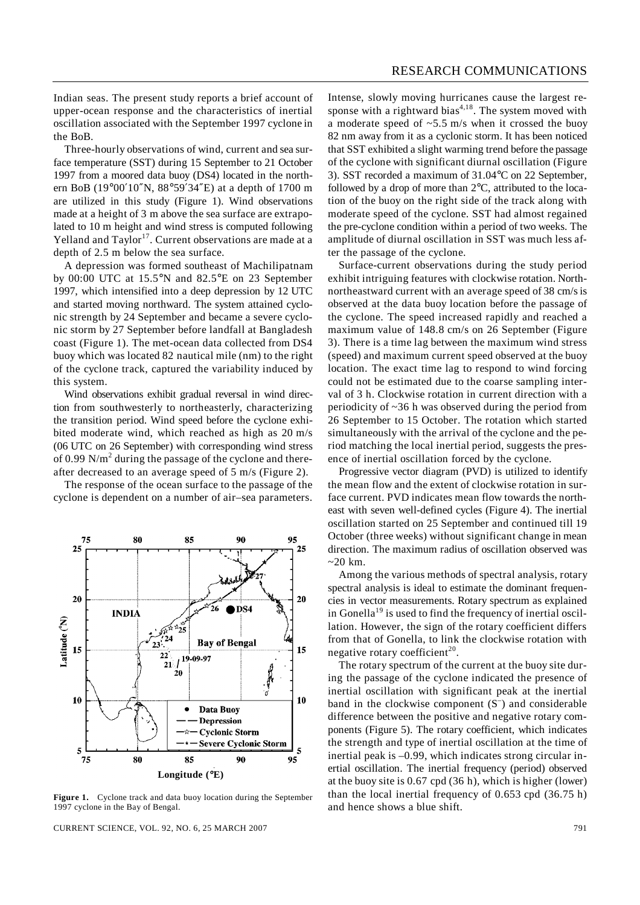Indian seas. The present study reports a brief account of upper-ocean response and the characteristics of inertial oscillation associated with the September 1997 cyclone in the BoB.

 Three-hourly observations of wind, current and sea surface temperature (SST) during 15 September to 21 October 1997 from a moored data buoy (DS4) located in the northern BoB (19°00′10″N, 88°59′34″E) at a depth of 1700 m are utilized in this study (Figure 1). Wind observations made at a height of 3 m above the sea surface are extrapolated to 10 m height and wind stress is computed following Yelland and Taylor<sup>17</sup>. Current observations are made at a depth of 2.5 m below the sea surface.

 A depression was formed southeast of Machilipatnam by 00:00 UTC at 15.5°N and 82.5°E on 23 September 1997, which intensified into a deep depression by 12 UTC and started moving northward. The system attained cyclonic strength by 24 September and became a severe cyclonic storm by 27 September before landfall at Bangladesh coast (Figure 1). The met-ocean data collected from DS4 buoy which was located 82 nautical mile (nm) to the right of the cyclone track, captured the variability induced by this system.

 Wind observations exhibit gradual reversal in wind direction from southwesterly to northeasterly, characterizing the transition period. Wind speed before the cyclone exhibited moderate wind, which reached as high as 20 m/s (06 UTC on 26 September) with corresponding wind stress of 0.99  $N/m<sup>2</sup>$  during the passage of the cyclone and thereafter decreased to an average speed of 5 m/s (Figure 2).

 The response of the ocean surface to the passage of the cyclone is dependent on a number of air–sea parameters.



Figure 1. Cyclone track and data buoy location during the September 1997 cyclone in the Bay of Bengal.

CURRENT SCIENCE, VOL. 92, NO. 6, 25 MARCH 2007 791

Intense, slowly moving hurricanes cause the largest response with a rightward bias<sup>4,18</sup>. The system moved with a moderate speed of  $\sim$  5.5 m/s when it crossed the buoy 82 nm away from it as a cyclonic storm. It has been noticed that SST exhibited a slight warming trend before the passage of the cyclone with significant diurnal oscillation (Figure 3). SST recorded a maximum of 31.04°C on 22 September, followed by a drop of more than 2°C, attributed to the location of the buoy on the right side of the track along with moderate speed of the cyclone. SST had almost regained the pre-cyclone condition within a period of two weeks. The amplitude of diurnal oscillation in SST was much less after the passage of the cyclone.

 Surface-current observations during the study period exhibit intriguing features with clockwise rotation. Northnortheastward current with an average speed of 38 cm/s is observed at the data buoy location before the passage of the cyclone. The speed increased rapidly and reached a maximum value of 148.8 cm/s on 26 September (Figure 3). There is a time lag between the maximum wind stress (speed) and maximum current speed observed at the buoy location. The exact time lag to respond to wind forcing could not be estimated due to the coarse sampling interval of 3 h. Clockwise rotation in current direction with a periodicity of ~36 h was observed during the period from 26 September to 15 October. The rotation which started simultaneously with the arrival of the cyclone and the period matching the local inertial period, suggests the presence of inertial oscillation forced by the cyclone.

 Progressive vector diagram (PVD) is utilized to identify the mean flow and the extent of clockwise rotation in surface current. PVD indicates mean flow towards the northeast with seven well-defined cycles (Figure 4). The inertial oscillation started on 25 September and continued till 19 October (three weeks) without significant change in mean direction. The maximum radius of oscillation observed was  $\approx$  20 km.

 Among the various methods of spectral analysis, rotary spectral analysis is ideal to estimate the dominant frequencies in vector measurements. Rotary spectrum as explained in Gonella<sup>19</sup> is used to find the frequency of inertial oscillation. However, the sign of the rotary coefficient differs from that of Gonella, to link the clockwise rotation with negative rotary coefficient<sup>20</sup>.

 The rotary spectrum of the current at the buoy site during the passage of the cyclone indicated the presence of inertial oscillation with significant peak at the inertial band in the clockwise component  $(S^-)$  and considerable difference between the positive and negative rotary components (Figure 5). The rotary coefficient, which indicates the strength and type of inertial oscillation at the time of inertial peak is –0.99, which indicates strong circular inertial oscillation. The inertial frequency (period) observed at the buoy site is 0.67 cpd (36 h), which is higher (lower) than the local inertial frequency of 0.653 cpd (36.75 h) and hence shows a blue shift.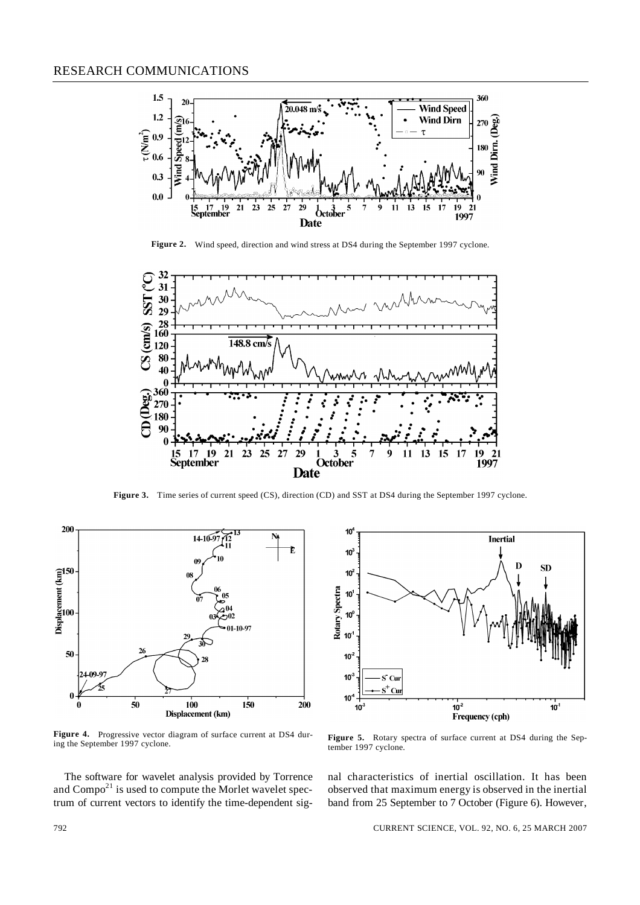

**Figure 2.** Wind speed, direction and wind stress at DS4 during the September 1997 cyclone.



Figure 3. Time series of current speed (CS), direction (CD) and SST at DS4 during the September 1997 cyclone.



Figure 4. Progressive vector diagram of surface current at DS4 during the September 1997 cyclone.

 The software for wavelet analysis provided by Torrence and  $Compo<sup>21</sup>$  is used to compute the Morlet wavelet spectrum of current vectors to identify the time-dependent sig-



Figure 5. Rotary spectra of surface current at DS4 during the September 1997 cyclone.

nal characteristics of inertial oscillation. It has been observed that maximum energy is observed in the inertial band from 25 September to 7 October (Figure 6). However,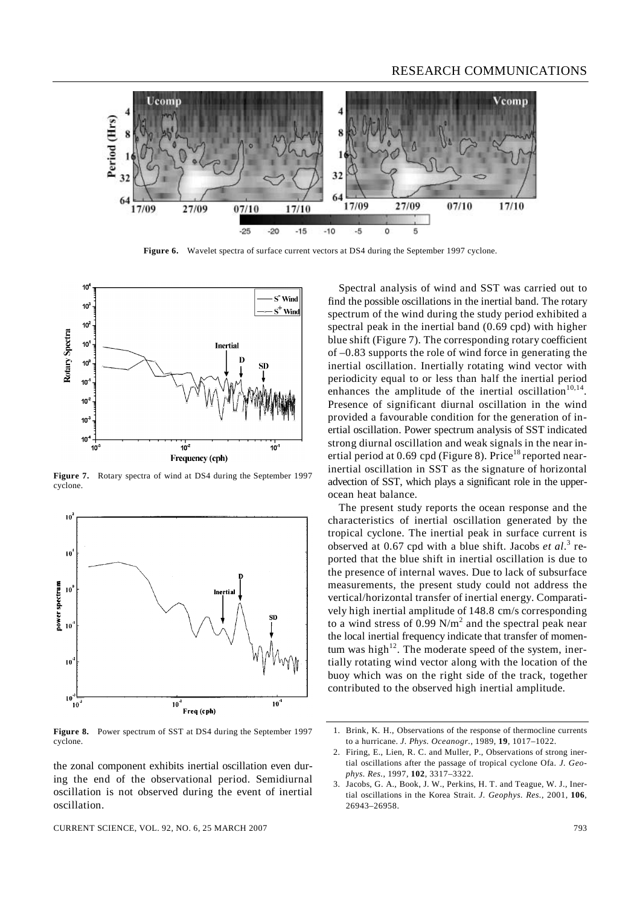

Figure 6. Wavelet spectra of surface current vectors at DS4 during the September 1997 cyclone.



**Figure 7.** Rotary spectra of wind at DS4 during the September 1997 cyclone.



**Figure 8.** Power spectrum of SST at DS4 during the September 1997 cyclone.

the zonal component exhibits inertial oscillation even during the end of the observational period. Semidiurnal oscillation is not observed during the event of inertial oscillation.

 Spectral analysis of wind and SST was carried out to find the possible oscillations in the inertial band. The rotary spectrum of the wind during the study period exhibited a spectral peak in the inertial band (0.69 cpd) with higher blue shift (Figure 7). The corresponding rotary coefficient of –0.83 supports the role of wind force in generating the inertial oscillation. Inertially rotating wind vector with periodicity equal to or less than half the inertial period enhances the amplitude of the inertial oscillation<sup>10,14</sup>. Presence of significant diurnal oscillation in the wind provided a favourable condition for the generation of inertial oscillation. Power spectrum analysis of SST indicated strong diurnal oscillation and weak signals in the near inertial period at  $0.69$  cpd (Figure 8). Price<sup>18</sup> reported nearinertial oscillation in SST as the signature of horizontal advection of SST, which plays a significant role in the upperocean heat balance.

 The present study reports the ocean response and the characteristics of inertial oscillation generated by the tropical cyclone. The inertial peak in surface current is observed at 0.67 cpd with a blue shift. Jacobs *et al.*<sup>3</sup> reported that the blue shift in inertial oscillation is due to the presence of internal waves. Due to lack of subsurface measurements, the present study could not address the vertical/horizontal transfer of inertial energy. Comparatively high inertial amplitude of 148.8 cm/s corresponding to a wind stress of 0.99  $N/m^2$  and the spectral peak near the local inertial frequency indicate that transfer of momentum was high<sup>12</sup>. The moderate speed of the system, inertially rotating wind vector along with the location of the buoy which was on the right side of the track, together contributed to the observed high inertial amplitude.

<sup>1.</sup> Brink, K. H., Observations of the response of thermocline currents to a hurricane. *J. Phys. Oceanogr.*, 1989, **19**, 1017–1022.

<sup>2.</sup> Firing, E., Lien, R. C. and Muller, P., Observations of strong inertial oscillations after the passage of tropical cyclone Ofa. *J. Geophys. Res.*, 1997, **102**, 3317–3322.

<sup>3.</sup> Jacobs, G. A., Book, J. W., Perkins, H. T. and Teague, W. J., Inertial oscillations in the Korea Strait. *J. Geophys. Res.*, 2001, **106**, 26943–26958.